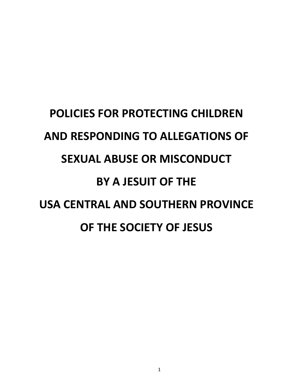# **POLICIES FOR PROTECTING CHILDREN AND RESPONDING TO ALLEGATIONS OF SEXUAL ABUSE OR MISCONDUCT BY A JESUIT OF THE USA CENTRAL AND SOUTHERN PROVINCE OF THE SOCIETY OF JESUS**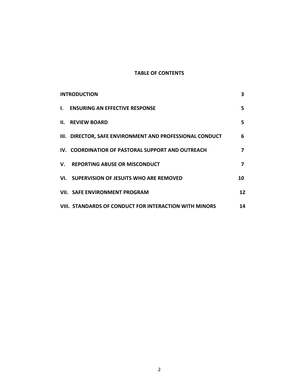## **TABLE OF CONTENTS**

| <b>INTRODUCTION</b> |                                                          | 3  |
|---------------------|----------------------------------------------------------|----|
| L.                  | <b>ENSURING AN EFFECTIVE RESPONSE</b>                    | 5. |
|                     | <b>II. REVIEW BOARD</b>                                  | 5. |
|                     | III. DIRECTOR, SAFE ENVIRONMENT AND PROFESSIONAL CONDUCT | 6  |
|                     | IV. COORDINATIOR OF PASTORAL SUPPORT AND OUTREACH        | 7  |
|                     | V. REPORTING ABUSE OR MISCONDUCT                         | 7  |
|                     | VI. SUPERVISION OF JESUITS WHO ARE REMOVED               | 10 |
|                     | <b>VII. SAFE ENVIRONMENT PROGRAM</b>                     | 12 |
|                     | VIII. STANDARDS OF CONDUCT FOR INTERACTION WITH MINORS   | 14 |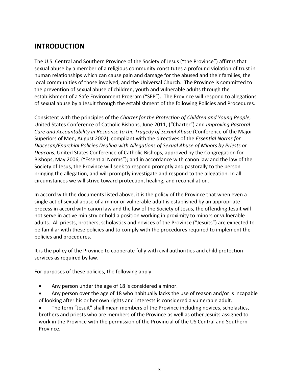## **INTRODUCTION**

The U.S. Central and Southern Province of the Society of Jesus ("the Province") affirms that sexual abuse by a member of a religious community constitutes a profound violation of trust in human relationships which can cause pain and damage for the abused and their families, the local communities of those involved, and the Universal Church. The Province is committed to the prevention of sexual abuse of children, youth and vulnerable adults through the establishment of a Safe Environment Program ("SEP"). The Province will respond to allegations of sexual abuse by a Jesuit through the establishment of the following Policies and Procedures.

Consistent with the principles of the *Charter for the Protection of Children and Young People*, United States Conference of Catholic Bishops, June 2011, ("Charter") and *Improving Pastoral Care and Accountability in Response to the Tragedy of Sexual Abuse* (Conference of the Major Superiors of Men, August 2002); compliant with the directives of the *Essential Norms for Diocesan/Eparchial Policies Dealing with Allegations of Sexual Abuse of Minors by Priests or Deacons*, United States Conference of Catholic Bishops, approved by the Congregation for Bishops, May 2006, ("Essential Norms"); and in accordance with canon law and the law of the Society of Jesus, the Province will seek to respond promptly and pastorally to the person bringing the allegation, and will promptly investigate and respond to the allegation. In all circumstances we will strive toward protection, healing, and reconciliation.

In accord with the documents listed above, it is the policy of the Province that when even a single act of sexual abuse of a minor or vulnerable adult is established by an appropriate process in accord with canon law and the law of the Society of Jesus, the offending Jesuit will not serve in active ministry or hold a position working in proximity to minors or vulnerable adults. All priests, brothers, scholastics and novices of the Province ("Jesuits") are expected to be familiar with these policies and to comply with the procedures required to implement the policies and procedures.

It is the policy of the Province to cooperate fully with civil authorities and child protection services as required by law.

For purposes of these policies, the following apply:

- Any person under the age of 18 is considered a minor.
- Any person over the age of 18 who habitually lacks the use of reason and/or is incapable of looking after his or her own rights and interests is considered a vulnerable adult.

• The term "Jesuit" shall mean members of the Province including novices, scholastics, brothers and priests who are members of the Province as well as other Jesuits assigned to work in the Province with the permission of the Provincial of the US Central and Southern Province.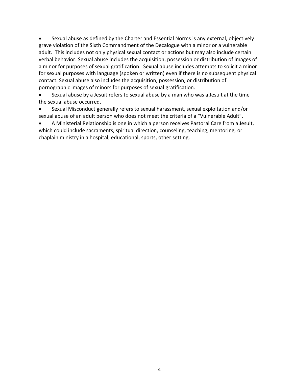• Sexual abuse as defined by the Charter and Essential Norms is any external, objectively grave violation of the Sixth Commandment of the Decalogue with a minor or a vulnerable adult. This includes not only physical sexual contact or actions but may also include certain verbal behavior. Sexual abuse includes the acquisition, possession or distribution of images of a minor for purposes of sexual gratification. Sexual abuse includes attempts to solicit a minor for sexual purposes with language (spoken or written) even if there is no subsequent physical contact. Sexual abuse also includes the acquisition, possession, or distribution of pornographic images of minors for purposes of sexual gratification.

• Sexual abuse by a Jesuit refers to sexual abuse by a man who was a Jesuit at the time the sexual abuse occurred.

• Sexual Misconduct generally refers to sexual harassment, sexual exploitation and/or sexual abuse of an adult person who does not meet the criteria of a "Vulnerable Adult".

• A Ministerial Relationship is one in which a person receives Pastoral Care from a Jesuit, which could include sacraments, spiritual direction, counseling, teaching, mentoring, or chaplain ministry in a hospital, educational, sports, other setting.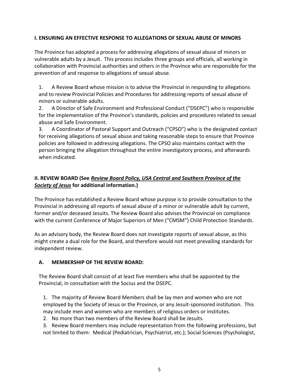#### **I. ENSURING AN EFFECTIVE RESPONSE TO ALLEGATIONS OF SEXUAL ABUSE OF MINORS**

The Province has adopted a process for addressing allegations of sexual abuse of minors or vulnerable adults by a Jesuit. This process includes three groups and officials, all working in collaboration with Provincial authorities and others in the Province who are responsible for the prevention of and response to allegations of sexual abuse.

1. A Review Board whose mission is to advise the Provincial in responding to allegations and to review Provincial Policies and Procedures for addressing reports of sexual abuse of minors or vulnerable adults.

2. A Director of Safe Environment and Professional Conduct ("DSEPC") who is responsible for the implementation of the Province's standards, policies and procedures related to sexual abuse and Safe Environment.

3. A Coordinator of Pastoral Support and Outreach ("CPSO") who is the designated contact for receiving allegations of sexual abuse and taking reasonable steps to ensure that Province policies are followed in addressing allegations. The CPSO also maintains contact with the person bringing the allegation throughout the entire investigatory process, and afterwards when indicated.

## **II. REVIEW BOARD (See** *Review Board Policy, USA Central and Southern Province of the Society of Jesus* **for additional information.)**

The Province has established a Review Board whose purpose is to provide consultation to the Provincial in addressing all reports of sexual abuse of a minor or vulnerable adult by current, former and/or deceased Jesuits. The Review Board also advises the Provincial on compliance with the current Conference of Major Superiors of Men ("CMSM") Child Protection Standards.

As an advisory body, the Review Board does not investigate reports of sexual abuse, as this might create a dual role for the Board, and therefore would not meet prevailing standards for independent review.

### **A. MEMBERSHIP OF THE REVIEW BOARD:**

The Review Board shall consist of at least five members who shall be appointed by the Provincial, in consultation with the Socius and the DSEPC.

1. The majority of Review Board Members shall be lay men and women who are not employed by the Society of Jesus or the Province, or any Jesuit-sponsored institution. This may include men and women who are members of religious orders or institutes.

2. No more than two members of the Review Board shall be Jesuits.

3. Review Board members may include representation from the following professions, but not limited to them: Medical (Pediatrician, Psychiatrist, etc.); Social Sciences (Psychologist,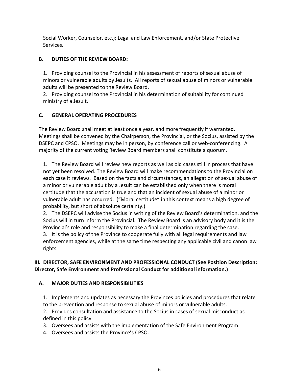Social Worker, Counselor, etc.); Legal and Law Enforcement, and/or State Protective Services.

## **B. DUTIES OF THE REVIEW BOARD:**

1. Providing counsel to the Provincial in his assessment of reports of sexual abuse of minors or vulnerable adults by Jesuits. All reports of sexual abuse of minors or vulnerable adults will be presented to the Review Board.

2. Providing counsel to the Provincial in his determination of suitability for continued ministry of a Jesuit.

## **C. GENERAL OPERATING PROCEDURES**

The Review Board shall meet at least once a year, and more frequently if warranted. Meetings shall be convened by the Chairperson, the Provincial, or the Socius, assisted by the DSEPC and CPSO. Meetings may be in person, by conference call or web-conferencing. A majority of the current voting Review Board members shall constitute a quorum.

1. The Review Board will review new reports as well as old cases still in process that have not yet been resolved. The Review Board will make recommendations to the Provincial on each case it reviews. Based on the facts and circumstances, an allegation of sexual abuse of a minor or vulnerable adult by a Jesuit can be established only when there is moral certitude that the accusation is true and that an incident of sexual abuse of a minor or vulnerable adult has occurred. ("Moral certitude" in this context means a high degree of probability, but short of absolute certainty.)

2. The DSEPC will advise the Socius in writing of the Review Board's determination, and the Socius will in turn inform the Provincial. The Review Board is an advisory body and it is the Provincial's role and responsibility to make a final determination regarding the case. 3. It is the policy of the Province to cooperate fully with all legal requirements and law enforcement agencies, while at the same time respecting any applicable civil and canon law rights.

## **III. DIRECTOR, SAFE ENVIRONMENT AND PROFESSIONAL CONDUCT (See Position Description: Director, Safe Environment and Professional Conduct for additional information.)**

### **A. MAJOR DUTIES AND RESPONSIBILITIES**

1. Implements and updates as necessary the Provinces policies and procedures that relate to the prevention and response to sexual abuse of minors or vulnerable adults.

2. Provides consultation and assistance to the Socius in cases of sexual misconduct as defined in this policy.

3. Oversees and assists with the implementation of the Safe Environment Program.

4. Oversees and assists the Province's CPSO.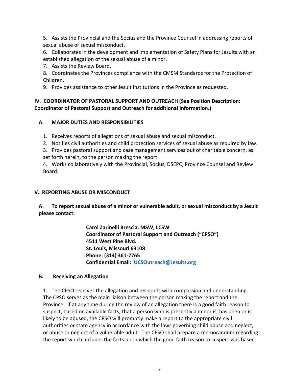5. Assists the Provincial and the Socius and the Province Counsel in addressing reports of sexual abuse or sexual misconduct.

6. Collaborates in the development and implementation of Safety Plans for Jesuits with an established allegation of the sexual abuse of a minor.

7. Assists the Review Board.

8. Coordinates the Provinces compliance with the CMSM Standards for the Protection of Children.

9. Provides assistance to other Jesuit institutions in the Province as requested.

## **IV. COORDINATOR OF PASTORAL SUPPORT AND OUTREACH (See Position Description: Coordinator of Pastoral Support and Outreach for additional information.)**

## **A. MAJOR DUTIES AND RESPONSIBILITIES**

1. Receives reports of allegations of sexual abuse and sexual misconduct.

2. Notifies civil authorities and child protection services of sexual abuse as required by law.

3. Provides pastoral support and case management services out of charitable concern, as set forth herein, to the person making the report.

4. Works collaboratively with the Provincial, Socius, DSEPC, Province Counsel and Review Board.

## **V. REPORTING ABUSE OR MISCONDUCT**

**A. To report sexual abuse of a minor or vulnerable adult, or sexual misconduct by a Jesuit please contact:** 

> **Carol Zarinelli Brescia. MSW, LCSW Coordinator of Pastoral Support and Outreach ("CPSO") 4511 West Pine Blvd. St. Louis, Missouri 63108 Phone: (314) 361-7765 Confidential Email: [UCSOutreach@Jesuits.org](mailto:UCSOutreach@Jesuits.org)**

## **B. Receiving an Allegation**

1. The CPSO receives the allegation and responds with compassion and understanding. The CPSO serves as the main liaison between the person making the report and the Province. If at any time during the review of an allegation there is a good faith reason to suspect, based on available facts, that a person who is presently a minor is, has been or is likely to be abused, the CPSO will promptly make a report to the appropriate civil authorities or state agency in accordance with the laws governing child abuse and neglect, or abuse or neglect of a vulnerable adult. The CPSO shall prepare a memorandum regarding the report which includes the facts upon which the good faith reason to suspect was based.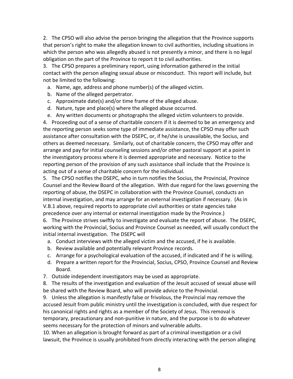2. The CPSO will also advise the person bringing the allegation that the Province supports that person's right to make the allegation known to civil authorities, including situations in which the person who was allegedly abused is not presently a minor, and there is no legal obligation on the part of the Province to report it to civil authorities.

3. The CPSO prepares a preliminary report, using information gathered in the initial contact with the person alleging sexual abuse or misconduct. This report will include, but not be limited to the following:

- a. Name, age, address and phone number(s) of the alleged victim.
- b. Name of the alleged perpetrator.
- c. Approximate date(s) and/or time frame of the alleged abuse.
- d. Nature, type and place(s) where the alleged abuse occurred.
- e. Any written documents or photographs the alleged victim volunteers to provide.

4. Proceeding out of a sense of charitable concern if it is deemed to be an emergency and the reporting person seeks some type of immediate assistance, the CPSO may offer such assistance after consultation with the DSEPC, or, if he/she is unavailable, the Socius, and others as deemed necessary. Similarly, out of charitable concern, the CPSO may offer and arrange and pay for initial counseling sessions and/or other pastoral support at a point in the investigatory process where it is deemed appropriate and necessary. Notice to the reporting person of the provision of any such assistance shall include that the Province is acting out of a sense of charitable concern for the individual.

5. The CPSO notifies the DSEPC, who in turn notifies the Socius, the Provincial, Province Counsel and the Review Board of the allegation. With due regard for the laws governing the reporting of abuse, the DSEPC in collaboration with the Province Counsel, conducts an internal investigation, and may arrange for an external investigation if necessary. (As in V.B.1 above, required reports to appropriate civil authorities or state agencies take precedence over any internal or external investigation made by the Province.)

6. The Province strives swiftly to investigate and evaluate the report of abuse. The DSEPC, working with the Provincial, Socius and Province Counsel as needed, will usually conduct the initial internal investigation. The DSEPC will

- a. Conduct interviews with the alleged victim and the accused, if he is available.
- b. Review available and potentially relevant Province records.
- c. Arrange for a psychological evaluation of the accused, if indicated and if he is willing.
- d. Prepare a written report for the Provincial, Socius, CPSO, Province Counsel and Review Board.
- 7. Outside independent investigators may be used as appropriate.
- 8. The results of the investigation and evaluation of the Jesuit accused of sexual abuse will be shared with the Review Board, who will provide advice to the Provincial.

9. Unless the allegation is manifestly false or frivolous, the Provincial may remove the accused Jesuit from public ministry until the investigation is concluded, with due respect for his canonical rights and rights as a member of the Society of Jesus. This removal is temporary, precautionary and non-punitive in nature, and the purpose is to do whatever seems necessary for the protection of minors and vulnerable adults.

10. When an allegation is brought forward as part of a criminal investigation or a civil lawsuit, the Province is usually prohibited from directly interacting with the person alleging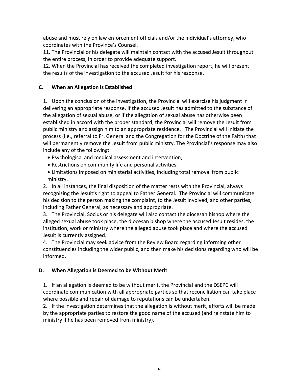abuse and must rely on law enforcement officials and/or the individual's attorney, who coordinates with the Province's Counsel.

11. The Provincial or his delegate will maintain contact with the accused Jesuit throughout the entire process, in order to provide adequate support.

12. When the Provincial has received the completed investigation report, he will present the results of the investigation to the accused Jesuit for his response.

## **C. When an Allegation is Established**

1. Upon the conclusion of the investigation, the Provincial will exercise his judgment in delivering an appropriate response. If the accused Jesuit has admitted to the substance of the allegation of sexual abuse, or if the allegation of sexual abuse has otherwise been established in accord with the proper standard, the Provincial will remove the Jesuit from public ministry and assign him to an appropriate residence. The Provincial will initiate the process (i.e., referral to Fr. General and the Congregation for the Doctrine of the Faith) that will permanently remove the Jesuit from public ministry. The Provincial's response may also include any of the following:

- Psychological and medical assessment and intervention;
- Restrictions on community life and personal activities;
- Limitations imposed on ministerial activities, including total removal from public ministry.

2. In all instances, the final disposition of the matter rests with the Provincial, always recognizing the Jesuit's right to appeal to Father General. The Provincial will communicate his decision to the person making the complaint, to the Jesuit involved, and other parties, including Father General, as necessary and appropriate.

3. The Provincial, Socius or his delegate will also contact the diocesan bishop where the alleged sexual abuse took place, the diocesan bishop where the accused Jesuit resides, the institution, work or ministry where the alleged abuse took place and where the accused Jesuit is currently assigned.

4. The Provincial may seek advice from the Review Board regarding informing other constituencies including the wider public, and then make his decisions regarding who will be informed.

## **D. When Allegation is Deemed to be Without Merit**

1. If an allegation is deemed to be without merit, the Provincial and the DSEPC will coordinate communication with all appropriate parties so that reconciliation can take place where possible and repair of damage to reputations can be undertaken.

2. If the investigation determines that the allegation is without merit, efforts will be made by the appropriate parties to restore the good name of the accused (and reinstate him to ministry if he has been removed from ministry).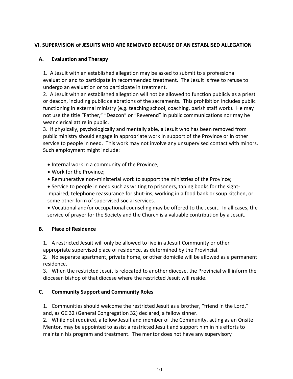## **VI. SUPERVISION of JESUITS WHO ARE REMOVED BECAUSE OF AN ESTABLISED ALLEGATION**

### **A. Evaluation and Therapy**

1. A Jesuit with an established allegation may be asked to submit to a professional evaluation and to participate in recommended treatment. The Jesuit is free to refuse to undergo an evaluation or to participate in treatment.

2. A Jesuit with an established allegation will not be allowed to function publicly as a priest or deacon, including public celebrations of the sacraments. This prohibition includes public functioning in external ministry (e.g. teaching school, coaching, parish staff work). He may not use the title "Father," "Deacon" or "Reverend" in public communications nor may he wear clerical attire in public.

3. If physically, psychologically and mentally able, a Jesuit who has been removed from public ministry should engage in appropriate work in support of the Province or in other service to people in need. This work may not involve any unsupervised contact with minors. Such employment might include:

- Internal work in a community of the Province;
- Work for the Province;
- Remunerative non-ministerial work to support the ministries of the Province;

• Service to people in need such as writing to prisoners, taping books for the sightimpaired, telephone reassurance for shut-ins, working in a food bank or soup kitchen, or some other form of supervised social services.

• Vocational and/or occupational counseling may be offered to the Jesuit. In all cases, the service of prayer for the Society and the Church is a valuable contribution by a Jesuit.

### **B. Place of Residence**

1. A restricted Jesuit will only be allowed to live in a Jesuit Community or other appropriate supervised place of residence, as determined by the Provincial.

2. No separate apartment, private home, or other domicile will be allowed as a permanent residence.

3. When the restricted Jesuit is relocated to another diocese, the Provincial will inform the diocesan bishop of that diocese where the restricted Jesuit will reside.

## **C. Community Support and Community Roles**

1. Communities should welcome the restricted Jesuit as a brother, "friend in the Lord," and, as GC 32 (General Congregation 32) declared, a fellow sinner.

2. While not required, a fellow Jesuit and member of the Community, acting as an Onsite Mentor, may be appointed to assist a restricted Jesuit and support him in his efforts to maintain his program and treatment. The mentor does not have any supervisory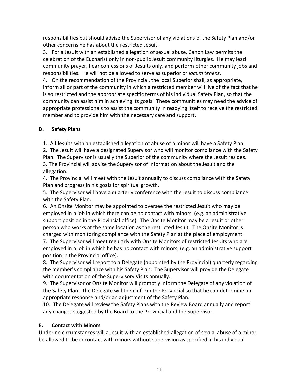responsibilities but should advise the Supervisor of any violations of the Safety Plan and/or other concerns he has about the restricted Jesuit.

3. For a Jesuit with an established allegation of sexual abuse, Canon Law permits the celebration of the Eucharist only in non-public Jesuit community liturgies. He may lead community prayer, hear confessions of Jesuits only, and perform other community jobs and responsibilities. He will not be allowed to serve as superior or *locum tenens*.

4. On the recommendation of the Provincial, the local Superior shall, as appropriate, inform all or part of the community in which a restricted member will live of the fact that he is so restricted and the appropriate specific terms of his individual Safety Plan, so that the community can assist him in achieving its goals. These communities may need the advice of appropriate professionals to assist the community in readying itself to receive the restricted member and to provide him with the necessary care and support.

## **D. Safety Plans**

1. All Jesuits with an established allegation of abuse of a minor will have a Safety Plan.

2. The Jesuit will have a designated Supervisor who will monitor compliance with the Safety Plan. The Supervisor is usually the Superior of the community where the Jesuit resides. 3. The Provincial will advise the Supervisor of information about the Jesuit and the allegation.

4. The Provincial will meet with the Jesuit annually to discuss compliance with the Safety Plan and progress in his goals for spiritual growth.

5. The Supervisor will have a quarterly conference with the Jesuit to discuss compliance with the Safety Plan.

6. An Onsite Monitor may be appointed to oversee the restricted Jesuit who may be employed in a job in which there can be no contact with minors, (e.g. an administrative support position in the Provincial office). The Onsite Monitor may be a Jesuit or other person who works at the same location as the restricted Jesuit. The Onsite Monitor is charged with monitoring compliance with the Safety Plan at the place of employment.

7. The Supervisor will meet regularly with Onsite Monitors of restricted Jesuits who are employed in a job in which he has no contact with minors, (e.g. an administrative support position in the Provincial office).

8. The Supervisor will report to a Delegate (appointed by the Provincial) quarterly regarding the member's compliance with his Safety Plan. The Supervisor will provide the Delegate with documentation of the Supervisory Visits annually.

9. The Supervisor or Onsite Monitor will promptly inform the Delegate of any violation of the Safety Plan. The Delegate will then inform the Provincial so that he can determine an appropriate response and/or an adjustment of the Safety Plan.

10. The Delegate will review the Safety Plans with the Review Board annually and report any changes suggested by the Board to the Provincial and the Supervisor.

### **E. Contact with Minors**

Under no circumstances will a Jesuit with an established allegation of sexual abuse of a minor be allowed to be in contact with minors without supervision as specified in his individual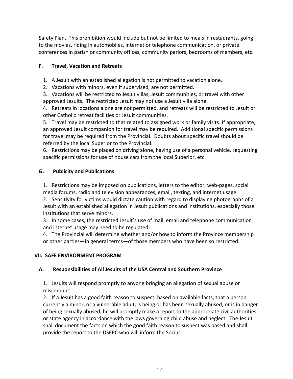Safety Plan. This prohibition would include but not be limited to meals in restaurants, going to the movies, riding in automobiles, internet or telephone communication, or private conferences in parish or community offices, community parlors, bedrooms of members, etc.

## **F. Travel, Vacation and Retreats**

1. A Jesuit with an established allegation is not permitted to vacation alone.

2. Vacations with minors, even if supervised, are not permitted.

3. Vacations will be restricted to Jesuit villas, Jesuit communities, or travel with other approved Jesuits. The restricted Jesuit may not use a Jesuit villa alone.

4. Retreats in locations alone are not permitted, and retreats will be restricted to Jesuit or other Catholic retreat facilities or Jesuit communities.

5. Travel may be restricted to that related to assigned work or family visits. If appropriate, an approved Jesuit companion for travel may be required. Additional specific permissions for travel may be required from the Provincial. Doubts about specific travel should be referred by the local Superior to the Provincial.

6. Restrictions may be placed on driving alone, having use of a personal vehicle, requesting specific permissions for use of house cars from the local Superior, etc.

## **G. Publicity and Publications**

1. Restrictions may be imposed on publications, letters to the editor, web-pages, social media forums, radio and television appearances, email, texting, and internet usage.

2. Sensitivity for victims would dictate caution with regard to displaying photographs of a Jesuit with an established allegation in Jesuit publications and institutions, especially those institutions that serve minors.

3. In some cases, the restricted Jesuit's use of mail, email and telephone communication and internet usage may need to be regulated.

4. The Provincial will determine whether and/or how to inform the Province membership or other parties—in general terms—of those members who have been so restricted.

### **VII. SAFE ENVIRONMENT PROGRAM**

### **A. Responsibilities of All Jesuits of the USA Central and Southern Province**

1. Jesuits will respond promptly to anyone bringing an allegation of sexual abuse or misconduct.

2. If a Jesuit has a good faith reason to suspect, based on available facts, that a person currently a minor, or a vulnerable adult, is being or has been sexually abused, or is in danger of being sexually abused, he will promptly make a report to the appropriate civil authorities or state agency in accordance with the laws governing child abuse and neglect. The Jesuit shall document the facts on which the good faith reason to suspect was based and shall provide the report to the DSEPC who will inform the Socius.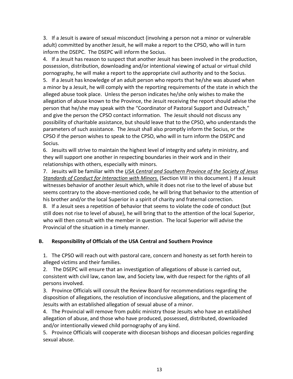3. If a Jesuit is aware of sexual misconduct (involving a person not a minor or vulnerable adult) committed by another Jesuit, he will make a report to the CPSO, who will in turn inform the DSEPC. The DSEPC will inform the Socius.

4. If a Jesuit has reason to suspect that another Jesuit has been involved in the production, possession, distribution, downloading and/or intentional viewing of actual or virtual child pornography, he will make a report to the appropriate civil authority and to the Socius.

5. If a Jesuit has knowledge of an adult person who reports that he/she was abused when a minor by a Jesuit, he will comply with the reporting requirements of the state in which the alleged abuse took place. Unless the person indicates he/she only wishes to make the allegation of abuse known to the Province, the Jesuit receiving the report should advise the person that he/she may speak with the "Coordinator of Pastoral Support and Outreach," and give the person the CPSO contact information. The Jesuit should not discuss any possibility of charitable assistance, but should leave that to the CPSO, who understands the parameters of such assistance. The Jesuit shall also promptly inform the Socius, or the CPSO if the person wishes to speak to the CPSO, who will in turn inform the DSEPC and Socius.

6. Jesuits will strive to maintain the highest level of integrity and safety in ministry, and they will support one another in respecting boundaries in their work and in their relationships with others, especially with minors.

7. Jesuits will be familiar with the *USA Central and Southern Province of the Society of Jesus Standards of Conduct for Interaction with Minors.* (Section VIII in this document.) If a Jesuit witnesses behavior of another Jesuit which, while it does not rise to the level of abuse but seems contrary to the above-mentioned code, he will bring that behavior to the attention of his brother and/or the local Superior in a spirit of charity and fraternal correction.

8. If a Jesuit sees a repetition of behavior that seems to violate the code of conduct (but still does not rise to level of abuse), he will bring that to the attention of the local Superior, who will then consult with the member in question. The local Superior will advise the Provincial of the situation in a timely manner.

### **B. Responsibility of Officials of the USA Central and Southern Province**

1. The CPSO will reach out with pastoral care, concern and honesty as set forth herein to alleged victims and their families.

2. The DSEPC will ensure that an investigation of allegations of abuse is carried out, consistent with civil law, canon law, and Society law, with due respect for the rights of all persons involved.

3. Province Officials will consult the Review Board for recommendations regarding the disposition of allegations, the resolution of inconclusive allegations, and the placement of Jesuits with an established allegation of sexual abuse of a minor.

4. The Provincial will remove from public ministry those Jesuits who have an established allegation of abuse, and those who have produced, possessed, distributed, downloaded and/or intentionally viewed child pornography of any kind.

5. Province Officials will cooperate with diocesan bishops and diocesan policies regarding sexual abuse.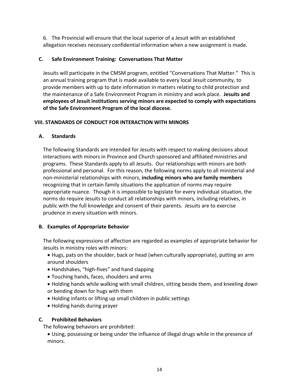6. The Provincial will ensure that the local superior of a Jesuit with an established allegation receives necessary confidential information when a new assignment is made.

#### **C. Safe Environment Training: Conversations That Matter**

Jesuits will participate in the CMSM program, entitled "Conversations That Matter." This is an annual training program that is made available to every local Jesuit community, to provide members with up to date information in matters relating to child protection and the maintenance of a Safe Environment Program in ministry and work place. **Jesuits and employees of Jesuit institutions serving minors are expected to comply with expectations of the Safe Environment Program of the local diocese.**

#### **VIII. STANDARDS OF CONDUCT FOR INTERACTION WITH MINORS**

#### **A. Standards**

The following Standards are intended for Jesuits with respect to making decisions about interactions with minors in Province and Church sponsored and affiliated ministries and programs. These Standards apply to all Jesuits. Our relationships with minors are both professional and personal. For this reason, the following norms apply to all ministerial and non-ministerial relationships with minors, **including minors who are family members** recognizing that in certain family situations the application of norms may require appropriate nuance. Though it is impossible to legislate for every individual situation, the norms do require Jesuits to conduct all relationships with minors, including relatives, in public with the full knowledge and consent of their parents. Jesuits are to exercise prudence in every situation with minors.

### **B. Examples of Appropriate Behavior**

The following expressions of affection are regarded as examples of appropriate behavior for Jesuits in ministry roles with minors:

- Hugs, pats on the shoulder, back or head (when culturally appropriate), putting an arm around shoulders
- Handshakes, "high-fives" and hand slapping
- Touching hands, faces, shoulders and arms
- Holding hands while walking with small children, sitting beside them, and kneeling down or bending down for hugs with them
- Holding infants or lifting up small children in public settings
- Holding hands during prayer

### **C. Prohibited Behaviors**

The following behaviors are prohibited:

• Using, possessing or being under the influence of illegal drugs while in the presence of minors.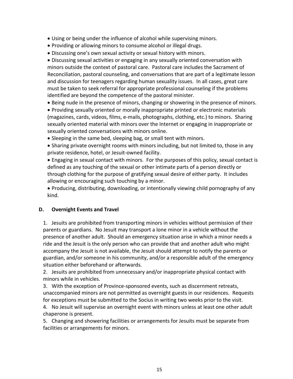- Using or being under the influence of alcohol while supervising minors.
- Providing or allowing minors to consume alcohol or illegal drugs.
- Discussing one's own sexual activity or sexual history with minors.

• Discussing sexual activities or engaging in any sexually oriented conversation with minors outside the context of pastoral care. Pastoral care includes the Sacrament of Reconciliation, pastoral counseling, and conversations that are part of a legitimate lesson and discussion for teenagers regarding human sexuality issues. In all cases, great care must be taken to seek referral for appropriate professional counseling if the problems identified are beyond the competence of the pastoral minister.

• Being nude in the presence of minors, changing or showering in the presence of minors.

• Providing sexually oriented or morally inappropriate printed or electronic materials (magazines, cards, videos, films, e-mails, photographs, clothing, etc.) to minors. Sharing sexually oriented material with minors over the Internet or engaging in inappropriate or sexually oriented conversations with minors online.

• Sleeping in the same bed, sleeping bag, or small tent with minors.

• Sharing private overnight rooms with minors including, but not limited to, those in any private residence, hotel, or Jesuit-owned facility.

• Engaging in sexual contact with minors. For the purposes of this policy, sexual contact is defined as any touching of the sexual or other intimate parts of a person directly or through clothing for the purpose of gratifying sexual desire of either party. It includes allowing or encouraging such touching by a minor.

• Producing, distributing, downloading, or intentionally viewing child pornography of any kind.

### **D. Overnight Events and Travel**

1. Jesuits are prohibited from transporting minors in vehicles without permission of their parents or guardians. No Jesuit may transport a lone minor in a vehicle without the presence of another adult. Should an emergency situation arise in which a minor needs a ride and the Jesuit is the only person who can provide that and another adult who might accompany the Jesuit is not available, the Jesuit should attempt to notify the parents or guardian, and/or someone in his community, and/or a responsible adult of the emergency situation either beforehand or afterwards.

2. Jesuits are prohibited from unnecessary and/or inappropriate physical contact with minors while in vehicles.

3. With the exception of Province-sponsored events, such as discernment retreats, unaccompanied minors are not permitted as overnight guests in our residences. Requests for exceptions must be submitted to the Socius in writing two weeks prior to the visit.

4. No Jesuit will supervise an overnight event with minors unless at least one other adult chaperone is present.

5. Changing and showering facilities or arrangements for Jesuits must be separate from facilities or arrangements for minors.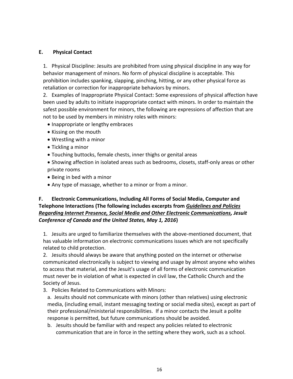#### **E. Physical Contact**

1. Physical Discipline: Jesuits are prohibited from using physical discipline in any way for behavior management of minors. No form of physical discipline is acceptable. This prohibition includes spanking, slapping, pinching, hitting, or any other physical force as retaliation or correction for inappropriate behaviors by minors.

2. Examples of Inappropriate Physical Contact: Some expressions of physical affection have been used by adults to initiate inappropriate contact with minors. In order to maintain the safest possible environment for minors, the following are expressions of affection that are not to be used by members in ministry roles with minors:

- Inappropriate or lengthy embraces
- Kissing on the mouth
- Wrestling with a minor
- Tickling a minor
- Touching buttocks, female chests, inner thighs or genital areas
- Showing affection in isolated areas such as bedrooms, closets, staff-only areas or other private rooms
- Being in bed with a minor
- Any type of massage, whether to a minor or from a minor.

## **F. Electronic Communications, Including All Forms of Social Media, Computer and Telephone Interactions (The following includes excerpts from** *Guidelines and Policies Regarding Internet Presence, Social Media and Other Electronic Communications, Jesuit Conference of Canada and the United States, May 1, 2016***)**

1. Jesuits are urged to familiarize themselves with the above-mentioned document, that has valuable information on electronic communications issues which are not specifically related to child protection.

2. Jesuits should always be aware that anything posted on the internet or otherwise communicated electronically is subject to viewing and usage by almost anyone who wishes to access that material, and the Jesuit's usage of all forms of electronic communication must never be in violation of what is expected in civil law, the Catholic Church and the Society of Jesus.

3. Policies Related to Communications with Minors:

a. Jesuits should not communicate with minors (other than relatives) using electronic media, (including email, instant messaging texting or social media sites), except as part of their professional/ministerial responsibilities. If a minor contacts the Jesuit a polite response is permitted, but future communications should be avoided.

b. Jesuits should be familiar with and respect any policies related to electronic communication that are in force in the setting where they work, such as a school.